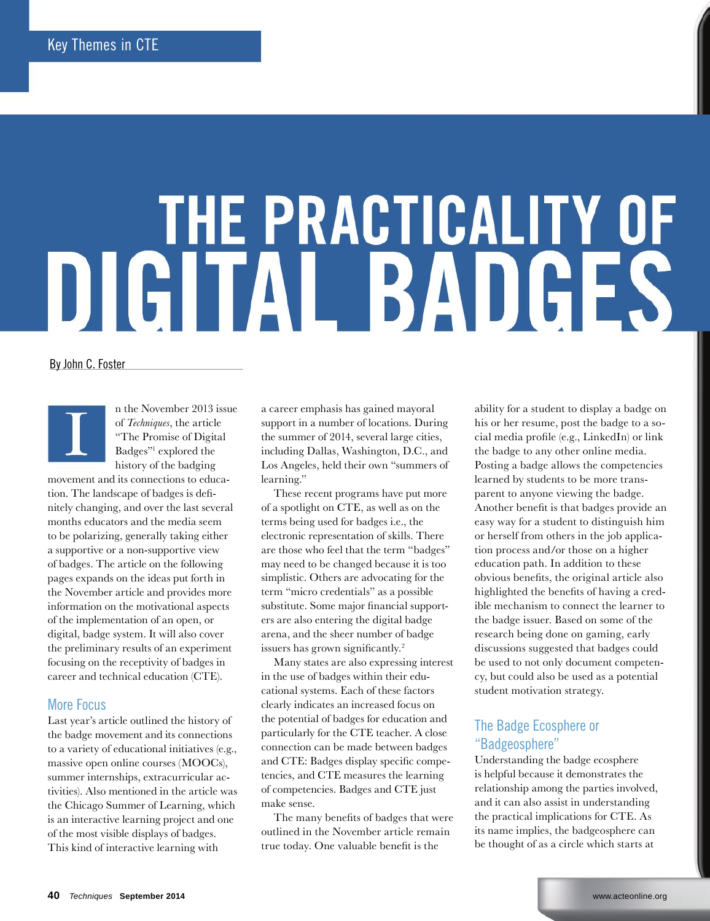# THE PRACTICALITY OF DIGITAL BADGES

By John C. Foster



n the November 2013 issue of *Techniques*, the article "The Promise of Digital Badges"1 explored the history of the badging

movement and its connections to education. The landscape of badges is definitely changing, and over the last several months educators and the media seem to be polarizing, generally taking either a supportive or a non-supportive view of badges. The article on the following pages expands on the ideas put forth in the November article and provides more information on the motivational aspects of the implementation of an open, or digital, badge system. It will also cover the preliminary results of an experiment focusing on the receptivity of badges in career and technical education (CTE).

#### More Focus

Last year's article outlined the history of the badge movement and its connections to a variety of educational initiatives (e.g., massive open online courses (MOOCs), summer internships, extracurricular activities). Also mentioned in the article was the Chicago Summer of Learning, which is an interactive learning project and one of the most visible displays of badges. This kind of interactive learning with

a career emphasis has gained mayoral support in a number of locations. During the summer of 2014, several large cities, including Dallas, Washington, D.C., and Los Angeles, held their own "summers of learning."

These recent programs have put more of a spotlight on CTE, as well as on the terms being used for badges i.e., the electronic representation of skills. There are those who feel that the term "badges" may need to be changed because it is too simplistic. Others are advocating for the term "micro credentials" as a possible substitute. Some major financial supporters are also entering the digital badge arena, and the sheer number of badge issuers has grown significantly.<sup>2</sup>

Many states are also expressing interest in the use of badges within their educational systems. Each of these factors clearly indicates an increased focus on the potential of badges for education and particularly for the CTE teacher. A close connection can be made between badges and CTE: Badges display specific competencies, and CTE measures the learning of competencies. Badges and CTE just make sense.

The many benefits of badges that were outlined in the November article remain true today. One valuable benefit is the

ability for a student to display a badge on his or her resume, post the badge to a social media profile (e.g., LinkedIn) or link the badge to any other online media. Posting a badge allows the competencies learned by students to be more transparent to anyone viewing the badge. Another benefit is that badges provide an easy way for a student to distinguish him or herself from others in the job application process and/or those on a higher education path. In addition to these obvious benefits, the original article also highlighted the benefits of having a credible mechanism to connect the learner to the badge issuer. Based on some of the research being done on gaming, early discussions suggested that badges could be used to not only document competency, but could also be used as a potential student motivation strategy.

#### The Badge Ecosphere or "Badgeosphere"

Understanding the badge ecosphere is helpful because it demonstrates the relationship among the parties involved, and it can also assist in understanding the practical implications for CTE. As its name implies, the badgeosphere can be thought of as a circle which starts at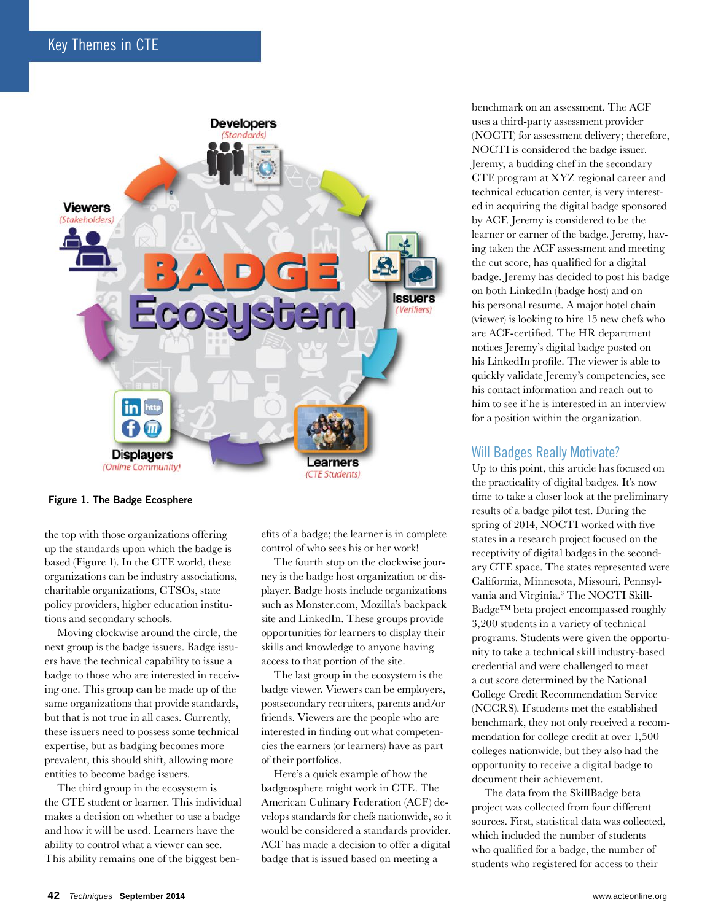

#### Figure 1. The Badge Ecosphere

the top with those organizations offering up the standards upon which the badge is based (Figure 1). In the CTE world, these organizations can be industry associations, charitable organizations, CTSOs, state policy providers, higher education institutions and secondary schools.

Moving clockwise around the circle, the next group is the badge issuers. Badge issuers have the technical capability to issue a badge to those who are interested in receiving one. This group can be made up of the same organizations that provide standards, but that is not true in all cases. Currently, these issuers need to possess some technical expertise, but as badging becomes more prevalent, this should shift, allowing more entities to become badge issuers.

The third group in the ecosystem is the CTE student or learner. This individual makes a decision on whether to use a badge and how it will be used. Learners have the ability to control what a viewer can see. This ability remains one of the biggest benefits of a badge; the learner is in complete control of who sees his or her work!

The fourth stop on the clockwise journey is the badge host organization or displayer. Badge hosts include organizations such as Monster.com, Mozilla's backpack site and LinkedIn. These groups provide opportunities for learners to display their skills and knowledge to anyone having access to that portion of the site.

The last group in the ecosystem is the badge viewer. Viewers can be employers, postsecondary recruiters, parents and/or friends. Viewers are the people who are interested in finding out what competencies the earners (or learners) have as part of their portfolios.

Here's a quick example of how the badgeosphere might work in CTE. The American Culinary Federation (ACF) develops standards for chefs nationwide, so it would be considered a standards provider. ACF has made a decision to offer a digital badge that is issued based on meeting a

benchmark on an assessment. The ACF uses a third-party assessment provider (NOCTI) for assessment delivery; therefore, NOCTI is considered the badge issuer. Jeremy, a budding chef in the secondary CTE program at XYZ regional career and technical education center, is very interested in acquiring the digital badge sponsored by ACF. Jeremy is considered to be the learner or earner of the badge. Jeremy, having taken the ACF assessment and meeting the cut score, has qualified for a digital badge. Jeremy has decided to post his badge on both LinkedIn (badge host) and on his personal resume. A major hotel chain (viewer) is looking to hire 15 new chefs who are ACF-certified. The HR department notices Jeremy's digital badge posted on his LinkedIn profile. The viewer is able to quickly validate Jeremy's competencies, see his contact information and reach out to him to see if he is interested in an interview for a position within the organization.

#### Will Badges Really Motivate?

Up to this point, this article has focused on the practicality of digital badges. It's now time to take a closer look at the preliminary results of a badge pilot test. During the spring of 2014, NOCTI worked with five states in a research project focused on the receptivity of digital badges in the secondary CTE space. The states represented were California, Minnesota, Missouri, Pennsylvania and Virginia.3 The NOCTI Skill-Badge™ beta project encompassed roughly 3,200 students in a variety of technical programs. Students were given the opportunity to take a technical skill industry-based credential and were challenged to meet a cut score determined by the National College Credit Recommendation Service (NCCRS). If students met the established benchmark, they not only received a recommendation for college credit at over 1,500 colleges nationwide, but they also had the opportunity to receive a digital badge to document their achievement.

The data from the SkillBadge beta project was collected from four different sources. First, statistical data was collected, which included the number of students who qualified for a badge, the number of students who registered for access to their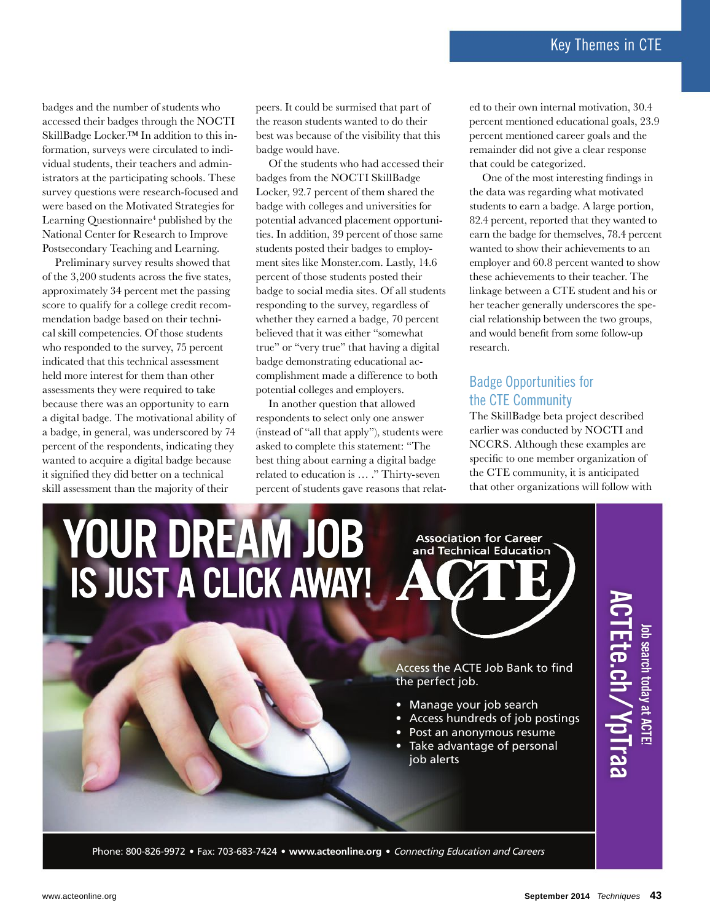badges and the number of students who accessed their badges through the NOCTI SkillBadge Locker.™ In addition to this information, surveys were circulated to individual students, their teachers and administrators at the participating schools. These survey questions were research-focused and were based on the Motivated Strategies for Learning Questionnaire<sup>4</sup> published by the National Center for Research to Improve Postsecondary Teaching and Learning.

Preliminary survey results showed that of the 3,200 students across the five states, approximately 34 percent met the passing score to qualify for a college credit recommendation badge based on their technical skill competencies. Of those students who responded to the survey, 75 percent indicated that this technical assessment held more interest for them than other assessments they were required to take because there was an opportunity to earn a digital badge. The motivational ability of a badge, in general, was underscored by 74 percent of the respondents, indicating they wanted to acquire a digital badge because it signified they did better on a technical skill assessment than the majority of their

peers. It could be surmised that part of the reason students wanted to do their best was because of the visibility that this badge would have.

Of the students who had accessed their badges from the NOCTI SkillBadge Locker, 92.7 percent of them shared the badge with colleges and universities for potential advanced placement opportunities. In addition, 39 percent of those same students posted their badges to employment sites like Monster.com. Lastly, 14.6 percent of those students posted their badge to social media sites. Of all students responding to the survey, regardless of whether they earned a badge, 70 percent believed that it was either "somewhat true" or "very true" that having a digital badge demonstrating educational accomplishment made a difference to both potential colleges and employers.

In another question that allowed respondents to select only one answer (instead of "all that apply"), students were asked to complete this statement: "The best thing about earning a digital badge related to education is … ." Thirty-seven percent of students gave reasons that relat-

ed to their own internal motivation, 30.4 percent mentioned educational goals, 23.9 percent mentioned career goals and the remainder did not give a clear response that could be categorized.

One of the most interesting findings in the data was regarding what motivated students to earn a badge. A large portion, 82.4 percent, reported that they wanted to earn the badge for themselves, 78.4 percent wanted to show their achievements to an employer and 60.8 percent wanted to show these achievements to their teacher. The linkage between a CTE student and his or her teacher generally underscores the special relationship between the two groups, and would benefit from some follow-up research.

#### Badge opportunities for the CTE Community

The SkillBadge beta project described earlier was conducted by NOCTI and NCCRS. Although these examples are specific to one member organization of the CTE community, it is anticipated that other organizations will follow with



**September 2014** *Techniques* **43**